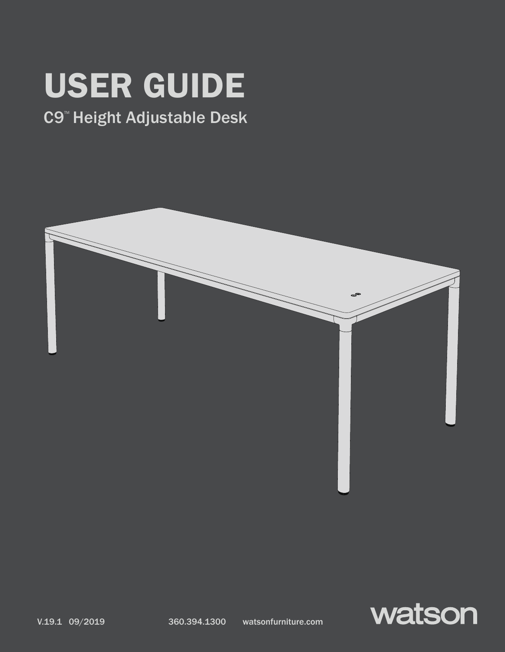# USER GUIDE

### C9™ Height Adjustable Desk



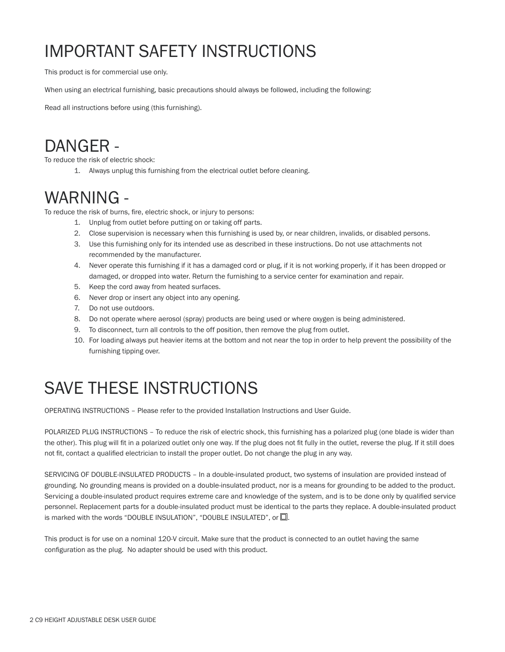## IMPORTANT SAFETY INSTRUCTIONS

This product is for commercial use only.

When using an electrical furnishing, basic precautions should always be followed, including the following:

Read all instructions before using (this furnishing).

### DANGER -

To reduce the risk of electric shock:

1. Always unplug this furnishing from the electrical outlet before cleaning.

### WARNING -

To reduce the risk of burns, fire, electric shock, or injury to persons:

- 1. Unplug from outlet before putting on or taking off parts.
- 2. Close supervision is necessary when this furnishing is used by, or near children, invalids, or disabled persons.
- 3. Use this furnishing only for its intended use as described in these instructions. Do not use attachments not recommended by the manufacturer.
- 4. Never operate this furnishing if it has a damaged cord or plug, if it is not working properly, if it has been dropped or damaged, or dropped into water. Return the furnishing to a service center for examination and repair.
- 5. Keep the cord away from heated surfaces.
- 6. Never drop or insert any object into any opening.
- 7. Do not use outdoors.
- 8. Do not operate where aerosol (spray) products are being used or where oxygen is being administered.
- 9. To disconnect, turn all controls to the off position, then remove the plug from outlet.
- 10. For loading always put heavier items at the bottom and not near the top in order to help prevent the possibility of the furnishing tipping over.

### SAVE THESE INSTRUCTIONS

OPERATING INSTRUCTIONS – Please refer to the provided Installation Instructions and User Guide.

POLARIZED PLUG INSTRUCTIONS – To reduce the risk of electric shock, this furnishing has a polarized plug (one blade is wider than the other). This plug will fit in a polarized outlet only one way. If the plug does not fit fully in the outlet, reverse the plug. If it still does not fit, contact a qualified electrician to install the proper outlet. Do not change the plug in any way.

SERVICING OF DOUBLE-INSULATED PRODUCTS – In a double-insulated product, two systems of insulation are provided instead of grounding. No grounding means is provided on a double-insulated product, nor is a means for grounding to be added to the product. Servicing a double-insulated product requires extreme care and knowledge of the system, and is to be done only by qualified service personnel. Replacement parts for a double-insulated product must be identical to the parts they replace. A double-insulated product is marked with the words "DOUBLE INSULATION", "DOUBLE INSULATED", or  $\square$ .

This product is for use on a nominal 120-V circuit. Make sure that the product is connected to an outlet having the same configuration as the plug. No adapter should be used with this product.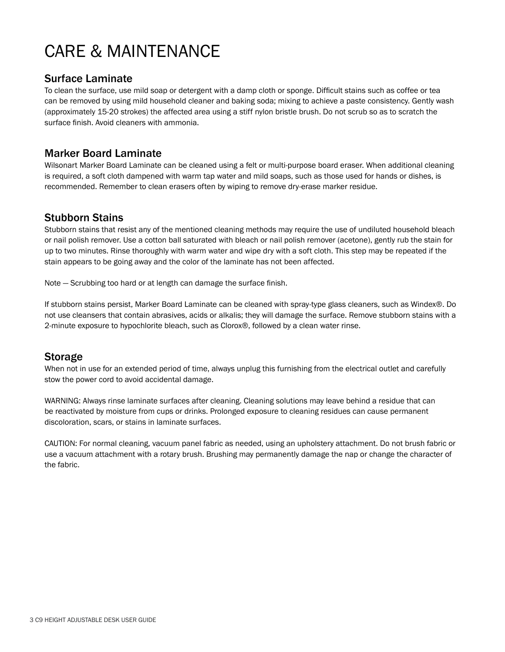### CARE & MAINTENANCE

#### Surface Laminate

To clean the surface, use mild soap or detergent with a damp cloth or sponge. Difficult stains such as coffee or tea can be removed by using mild household cleaner and baking soda; mixing to achieve a paste consistency. Gently wash (approximately 15-20 strokes) the affected area using a stiff nylon bristle brush. Do not scrub so as to scratch the surface finish. Avoid cleaners with ammonia.

### Marker Board Laminate

Wilsonart Marker Board Laminate can be cleaned using a felt or multi-purpose board eraser. When additional cleaning is required, a soft cloth dampened with warm tap water and mild soaps, such as those used for hands or dishes, is recommended. Remember to clean erasers often by wiping to remove dry-erase marker residue.

#### Stubborn Stains

Stubborn stains that resist any of the mentioned cleaning methods may require the use of undiluted household bleach or nail polish remover. Use a cotton ball saturated with bleach or nail polish remover (acetone), gently rub the stain for up to two minutes. Rinse thoroughly with warm water and wipe dry with a soft cloth. This step may be repeated if the stain appears to be going away and the color of the laminate has not been affected.

Note — Scrubbing too hard or at length can damage the surface finish.

If stubborn stains persist, Marker Board Laminate can be cleaned with spray-type glass cleaners, such as Windex®. Do not use cleansers that contain abrasives, acids or alkalis; they will damage the surface. Remove stubborn stains with a 2-minute exposure to hypochlorite bleach, such as Clorox®, followed by a clean water rinse.

### Storage

When not in use for an extended period of time, always unplug this furnishing from the electrical outlet and carefully stow the power cord to avoid accidental damage.

WARNING: Always rinse laminate surfaces after cleaning. Cleaning solutions may leave behind a residue that can be reactivated by moisture from cups or drinks. Prolonged exposure to cleaning residues can cause permanent discoloration, scars, or stains in laminate surfaces.

CAUTION: For normal cleaning, vacuum panel fabric as needed, using an upholstery attachment. Do not brush fabric or use a vacuum attachment with a rotary brush. Brushing may permanently damage the nap or change the character of the fabric.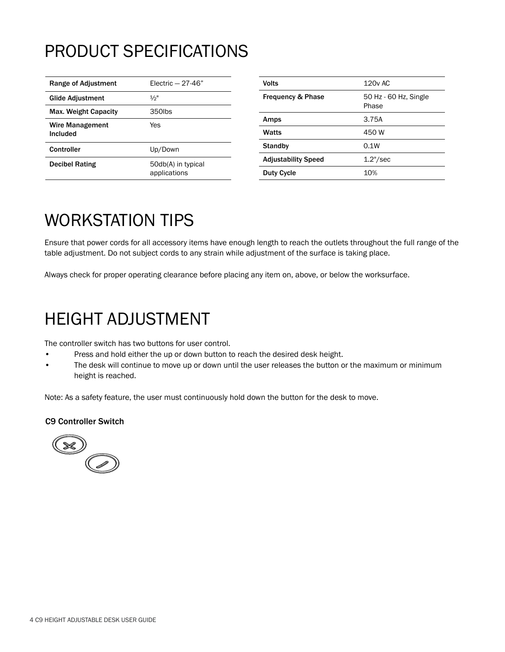### PRODUCT SPECIFICATIONS

| Range of Adjustment         | Electric $-27-46"$                 |
|-----------------------------|------------------------------------|
| Glide Adjustment            | $1/2$ "                            |
| Max. Weight Capacity        | 350lbs                             |
| Wire Management<br>Included | Yes                                |
| Controller                  | Up/Down                            |
| <b>Decibel Rating</b>       | 50db(A) in typical<br>applications |

| Volts                        | 120y AC                        |
|------------------------------|--------------------------------|
| <b>Frequency &amp; Phase</b> | 50 Hz - 60 Hz, Single<br>Phase |
| Amps                         | 3.75A                          |
| Watts                        | 450 W                          |
| <b>Standby</b>               | 0.1W                           |
| <b>Adjustability Speed</b>   | $1.2$ "/sec                    |
| <b>Duty Cycle</b>            | 10%                            |
|                              |                                |

### WORKSTATION TIPS

Ensure that power cords for all accessory items have enough length to reach the outlets throughout the full range of the table adjustment. Do not subject cords to any strain while adjustment of the surface is taking place.

Always check for proper operating clearance before placing any item on, above, or below the worksurface.

### HEIGHT ADJUSTMENT

The controller switch has two buttons for user control.

- Press and hold either the up or down button to reach the desired desk height.
- The desk will continue to move up or down until the user releases the button or the maximum or minimum height is reached.

Note: As a safety feature, the user must continuously hold down the button for the desk to move.